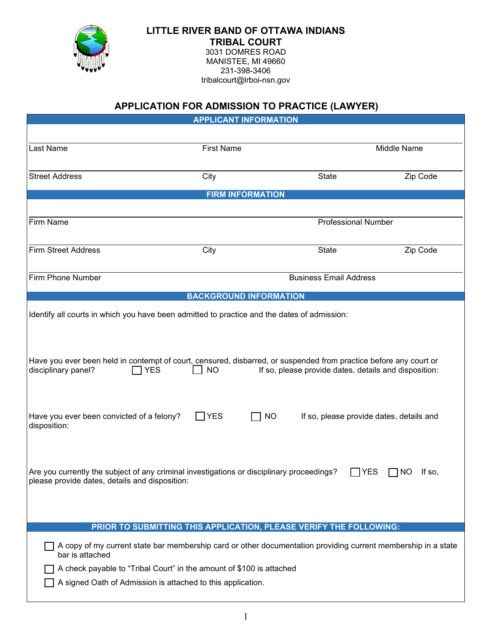

## **LITTLE RIVER BAND OF OTTAWA INDIANS TRIBAL COURT**

3031 DOMRES ROAD MANISTEE, MI 49660 231-398-3406 tribalcourt@lrboi-nsn.gov

## **APPLICATION FOR ADMISSION TO PRACTICE (LAWYER)**

| <b>APPLICANT INFORMATION</b>                                                                                                                                                                                                                                                   |                            |              |                                          |  |
|--------------------------------------------------------------------------------------------------------------------------------------------------------------------------------------------------------------------------------------------------------------------------------|----------------------------|--------------|------------------------------------------|--|
|                                                                                                                                                                                                                                                                                |                            |              |                                          |  |
| Last Name                                                                                                                                                                                                                                                                      | <b>First Name</b>          |              | Middle Name                              |  |
| <b>Street Address</b>                                                                                                                                                                                                                                                          | City                       | State        | Zip Code                                 |  |
| <b>FIRM INFORMATION</b>                                                                                                                                                                                                                                                        |                            |              |                                          |  |
|                                                                                                                                                                                                                                                                                |                            |              |                                          |  |
| Firm Name                                                                                                                                                                                                                                                                      | <b>Professional Number</b> |              |                                          |  |
| <b>Firm Street Address</b>                                                                                                                                                                                                                                                     | City                       | <b>State</b> | Zip Code                                 |  |
| Firm Phone Number                                                                                                                                                                                                                                                              |                            |              | <b>Business Email Address</b>            |  |
| <b>BACKGROUND INFORMATION</b>                                                                                                                                                                                                                                                  |                            |              |                                          |  |
| Identify all courts in which you have been admitted to practice and the dates of admission:                                                                                                                                                                                    |                            |              |                                          |  |
| Have you ever been held in contempt of court, censured, disbarred, or suspended from practice before any court or<br>disciplinary panel?<br>If so, please provide dates, details and disposition:<br><b>NO</b><br><b>YES</b>                                                   |                            |              |                                          |  |
| Have you ever been convicted of a felony?<br>disposition:                                                                                                                                                                                                                      | $\Box$ YES                 | $\Box$ NO    | If so, please provide dates, details and |  |
| Are you currently the subject of any criminal investigations or disciplinary proceedings?<br>$\Box$ YES<br>$\Box$ NO<br>If so,<br>please provide dates, details and disposition:                                                                                               |                            |              |                                          |  |
|                                                                                                                                                                                                                                                                                |                            |              |                                          |  |
| PRIOR TO SUBMITTING THIS APPLICATION, PLEASE VERIFY THE FOLLOWING:<br>A copy of my current state bar membership card or other documentation providing current membership in a state<br>bar is attached<br>A check payable to "Tribal Court" in the amount of \$100 is attached |                            |              |                                          |  |

A signed Oath of Admission is attached to this application.